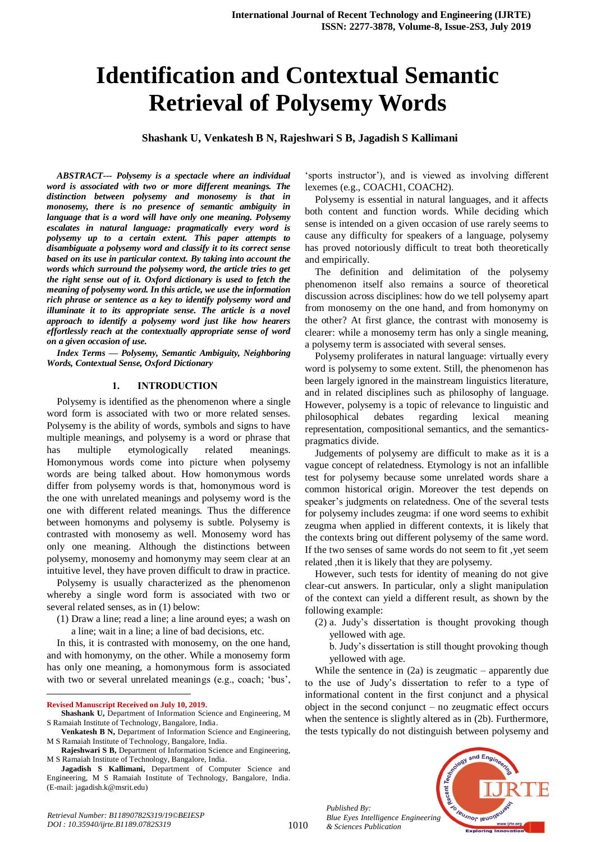# **Identification and Contextual Semantic Retrieval of Polysemy Words**

**Shashank U, Venkatesh B N, Rajeshwari S B, Jagadish S Kallimani**

*ABSTRACT--- Polysemy is a spectacle where an individual word is associated with two or more different meanings. The distinction between polysemy and monosemy is that in monosemy, there is no presence of semantic ambiguity in language that is a word will have only one meaning. Polysemy escalates in natural language: pragmatically every word is polysemy up to a certain extent. This paper attempts to disambiguate a polysemy word and classify it to its correct sense based on its use in particular context. By taking into account the words which surround the polysemy word, the article tries to get the right sense out of it. Oxford dictionary is used to fetch the meaning of polysemy word. In this article, we use the information rich phrase or sentence as a key to identify polysemy word and illuminate it to its appropriate sense. The article is a novel approach to identify a polysemy word just like how hearers effortlessly reach at the contextually appropriate sense of word on a given occasion of use.*

*Index Terms — Polysemy, Semantic Ambiguity, Neighboring Words, Contextual Sense, Oxford Dictionary*

#### **1. INTRODUCTION**

Polysemy is identified as the phenomenon where a single word form is associated with two or more related senses. Polysemy is the ability of words, symbols and signs to have multiple meanings, and polysemy is a word or phrase that has multiple etymologically related meanings. Homonymous words come into picture when polysemy words are being talked about. How homonymous words differ from polysemy words is that, homonymous word is the one with unrelated meanings and polysemy word is the one with different related meanings. Thus the difference between homonyms and polysemy is subtle. Polysemy is contrasted with monosemy as well. Monosemy word has only one meaning. Although the distinctions between polysemy, monosemy and homonymy may seem clear at an intuitive level, they have proven difficult to draw in practice.

Polysemy is usually characterized as the phenomenon whereby a single word form is associated with two or several related senses, as in (1) below:

(1) Draw a line; read a line; a line around eyes; a wash on a line; wait in a line; a line of bad decisions, etc.

In this, it is contrasted with monosemy, on the one hand, and with homonymy, on the other. While a monosemy form has only one meaning, a homonymous form is associated with two or several unrelated meanings (e.g., coach; 'bus',

 $\overline{a}$ 

*Retrieval Number: B11890782S319/19©BEIESP DOI : 10.35940/ijrte.B1189.0782S319*

'sports instructor'), and is viewed as involving different lexemes (e.g., COACH1, COACH2).

Polysemy is essential in natural languages, and it affects both content and function words. While deciding which sense is intended on a given occasion of use rarely seems to cause any difficulty for speakers of a language, polysemy has proved notoriously difficult to treat both theoretically and empirically.

The definition and delimitation of the polysemy phenomenon itself also remains a source of theoretical discussion across disciplines: how do we tell polysemy apart from monosemy on the one hand, and from homonymy on the other? At first glance, the contrast with monosemy is clearer: while a monosemy term has only a single meaning, a polysemy term is associated with several senses.

Polysemy proliferates in natural language: virtually every word is polysemy to some extent. Still, the phenomenon has been largely ignored in the mainstream linguistics literature, and in related disciplines such as philosophy of language. However, polysemy is a topic of relevance to linguistic and philosophical debates regarding lexical meaning representation, compositional semantics, and the semanticspragmatics divide.

Judgements of polysemy are difficult to make as it is a vague concept of relatedness. Etymology is not an infallible test for polysemy because some unrelated words share a common historical origin. Moreover the test depends on speaker's judgments on relatedness. One of the several tests for polysemy includes zeugma: if one word seems to exhibit zeugma when applied in different contexts, it is likely that the contexts bring out different polysemy of the same word. If the two senses of same words do not seem to fit ,yet seem related ,then it is likely that they are polysemy.

However, such tests for identity of meaning do not give clear-cut answers. In particular, only a slight manipulation of the context can yield a different result, as shown by the following example:

- (2) a. Judy's dissertation is thought provoking though yellowed with age.
	- b. Judy's dissertation is still thought provoking though yellowed with age.

While the sentence in  $(2a)$  is zeugmatic – apparently due to the use of Judy's dissertation to refer to a type of informational content in the first conjunct and a physical object in the second conjunct – no zeugmatic effect occurs when the sentence is slightly altered as in (2b). Furthermore, the tests typically do not distinguish between polysemy and



*Published By: Blue Eyes Intelligence Engineering & Sciences Publication* 

**Revised Manuscript Received on July 10, 2019.**

**Shashank U,** Department of Information Science and Engineering, M S Ramaiah Institute of Technology, Bangalore, India.

**Venkatesh B N,** Department of Information Science and Engineering, M S Ramaiah Institute of Technology, Bangalore, India.

**Rajeshwari S B,** Department of Information Science and Engineering, M S Ramaiah Institute of Technology, Bangalore, India.

**Jagadish S Kallimani,** Department of Computer Science and Engineering, M S Ramaiah Institute of Technology, Bangalore, India. (E-mail: jagadish.k@msrit.edu)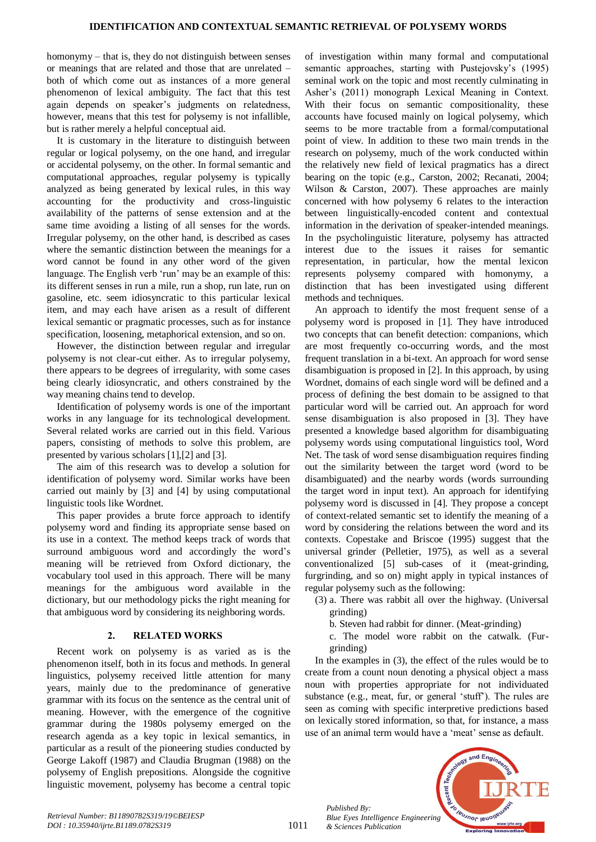homonymy – that is, they do not distinguish between senses or meanings that are related and those that are unrelated – both of which come out as instances of a more general phenomenon of lexical ambiguity. The fact that this test again depends on speaker's judgments on relatedness, however, means that this test for polysemy is not infallible, but is rather merely a helpful conceptual aid.

It is customary in the literature to distinguish between regular or logical polysemy, on the one hand, and irregular or accidental polysemy, on the other. In formal semantic and computational approaches, regular polysemy is typically analyzed as being generated by lexical rules, in this way accounting for the productivity and cross-linguistic availability of the patterns of sense extension and at the same time avoiding a listing of all senses for the words. Irregular polysemy, on the other hand, is described as cases where the semantic distinction between the meanings for a word cannot be found in any other word of the given language. The English verb 'run' may be an example of this: its different senses in run a mile, run a shop, run late, run on gasoline, etc. seem idiosyncratic to this particular lexical item, and may each have arisen as a result of different lexical semantic or pragmatic processes, such as for instance specification, loosening, metaphorical extension, and so on.

However, the distinction between regular and irregular polysemy is not clear-cut either. As to irregular polysemy, there appears to be degrees of irregularity, with some cases being clearly idiosyncratic, and others constrained by the way meaning chains tend to develop.

Identification of polysemy words is one of the important works in any language for its technological development. Several related works are carried out in this field. Various papers, consisting of methods to solve this problem, are presented by various scholars [1],[2] and [3].

The aim of this research was to develop a solution for identification of polysemy word. Similar works have been carried out mainly by [3] and [4] by using computational linguistic tools like Wordnet.

This paper provides a brute force approach to identify polysemy word and finding its appropriate sense based on its use in a context. The method keeps track of words that surround ambiguous word and accordingly the word's meaning will be retrieved from Oxford dictionary, the vocabulary tool used in this approach. There will be many meanings for the ambiguous word available in the dictionary, but our methodology picks the right meaning for that ambiguous word by considering its neighboring words.

#### **2. RELATED WORKS**

Recent work on polysemy is as varied as is the phenomenon itself, both in its focus and methods. In general linguistics, polysemy received little attention for many years, mainly due to the predominance of generative grammar with its focus on the sentence as the central unit of meaning. However, with the emergence of the cognitive grammar during the 1980s polysemy emerged on the research agenda as a key topic in lexical semantics, in particular as a result of the pioneering studies conducted by George Lakoff (1987) and Claudia Brugman (1988) on the polysemy of English prepositions. Alongside the cognitive linguistic movement, polysemy has become a central topic

of investigation within many formal and computational semantic approaches, starting with Pustejovsky's (1995) seminal work on the topic and most recently culminating in Asher's (2011) monograph Lexical Meaning in Context. With their focus on semantic compositionality, these accounts have focused mainly on logical polysemy, which seems to be more tractable from a formal/computational point of view. In addition to these two main trends in the research on polysemy, much of the work conducted within the relatively new field of lexical pragmatics has a direct bearing on the topic (e.g., Carston, 2002; Recanati, 2004; Wilson & Carston, 2007). These approaches are mainly concerned with how polysemy 6 relates to the interaction between linguistically-encoded content and contextual information in the derivation of speaker-intended meanings. In the psycholinguistic literature, polysemy has attracted interest due to the issues it raises for semantic representation, in particular, how the mental lexicon represents polysemy compared with homonymy, a distinction that has been investigated using different methods and techniques.

An approach to identify the most frequent sense of a polysemy word is proposed in [1]. They have introduced two concepts that can benefit detection: companions, which are most frequently co-occurring words, and the most frequent translation in a bi-text. An approach for word sense disambiguation is proposed in [2]. In this approach, by using Wordnet, domains of each single word will be defined and a process of defining the best domain to be assigned to that particular word will be carried out. An approach for word sense disambiguation is also proposed in [3]. They have presented a knowledge based algorithm for disambiguating polysemy words using computational linguistics tool, Word Net. The task of word sense disambiguation requires finding out the similarity between the target word (word to be disambiguated) and the nearby words (words surrounding the target word in input text). An approach for identifying polysemy word is discussed in [4]. They propose a concept of context-related semantic set to identify the meaning of a word by considering the relations between the word and its contexts. Copestake and Briscoe (1995) suggest that the universal grinder (Pelletier, 1975), as well as a several conventionalized [5] sub-cases of it (meat-grinding, furgrinding, and so on) might apply in typical instances of regular polysemy such as the following:

- (3) a. There was rabbit all over the highway. (Universal grinding)
	- b. Steven had rabbit for dinner. (Meat-grinding)
	- c. The model wore rabbit on the catwalk. (Furgrinding)

In the examples in (3), the effect of the rules would be to create from a count noun denoting a physical object a mass noun with properties appropriate for not individuated substance (e.g., meat, fur, or general 'stuff'). The rules are seen as coming with specific interpretive predictions based on lexically stored information, so that, for instance, a mass use of an animal term would have a 'meat' sense as default.

> and Engi accent Tech **Veuanor lenoire**

*Published By: Blue Eyes Intelligence Engineering & Sciences Publication* 

1011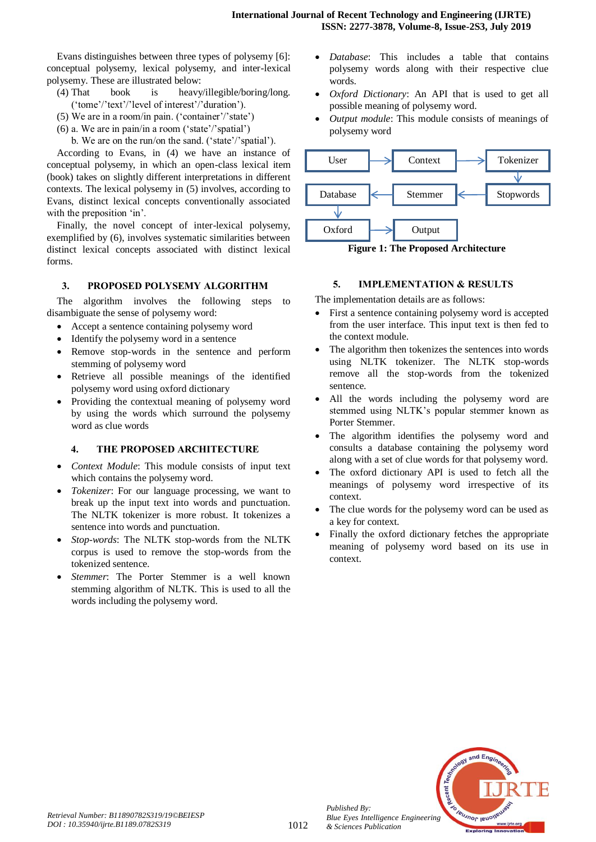Evans distinguishes between three types of polysemy [6]: conceptual polysemy, lexical polysemy, and inter-lexical polysemy. These are illustrated below:

- (4) That book is heavy/illegible/boring/long. ('tome'/'text'/'level of interest'/'duration').
- (5) We are in a room/in pain. ('container'/'state')
- (6) a. We are in pain/in a room ('state'/'spatial')

b. We are on the run/on the sand. ('state'/'spatial').

According to Evans, in (4) we have an instance of conceptual polysemy, in which an open-class lexical item (book) takes on slightly different interpretations in different contexts. The lexical polysemy in (5) involves, according to Evans, distinct lexical concepts conventionally associated with the preposition 'in'.

Finally, the novel concept of inter-lexical polysemy, exemplified by (6), involves systematic similarities between distinct lexical concepts associated with distinct lexical forms.

## **3. PROPOSED POLYSEMY ALGORITHM**

The algorithm involves the following steps to disambiguate the sense of polysemy word:

- Accept a sentence containing polysemy word
- Identify the polysemy word in a sentence
- Remove stop-words in the sentence and perform stemming of polysemy word
- Retrieve all possible meanings of the identified polysemy word using oxford dictionary
- Providing the contextual meaning of polysemy word by using the words which surround the polysemy word as clue words

#### **4. THE PROPOSED ARCHITECTURE**

- *Context Module*: This module consists of input text which contains the polysemy word.
- *Tokenizer*: For our language processing, we want to break up the input text into words and punctuation. The NLTK tokenizer is more robust. It tokenizes a sentence into words and punctuation.
- *Stop-words*: The NLTK stop-words from the NLTK corpus is used to remove the stop-words from the tokenized sentence.
- *Stemmer*: The Porter Stemmer is a well known stemming algorithm of NLTK. This is used to all the words including the polysemy word.
- *Database*: This includes a table that contains polysemy words along with their respective clue words.
- *Oxford Dictionary*: An API that is used to get all possible meaning of polysemy word.
- *Output module*: This module consists of meanings of polysemy word



**Figure 1: The Proposed Architecture** 

## **5. IMPLEMENTATION & RESULTS**

The implementation details are as follows:

- First a sentence containing polysemy word is accepted from the user interface. This input text is then fed to the context module.
- The algorithm then tokenizes the sentences into words using NLTK tokenizer. The NLTK stop-words remove all the stop-words from the tokenized sentence.
- All the words including the polysemy word are stemmed using NLTK's popular stemmer known as Porter Stemmer.
- The algorithm identifies the polysemy word and consults a database containing the polysemy word along with a set of clue words for that polysemy word.
- The oxford dictionary API is used to fetch all the meanings of polysemy word irrespective of its context.
- The clue words for the polysemy word can be used as a key for context.
- Finally the oxford dictionary fetches the appropriate meaning of polysemy word based on its use in context.